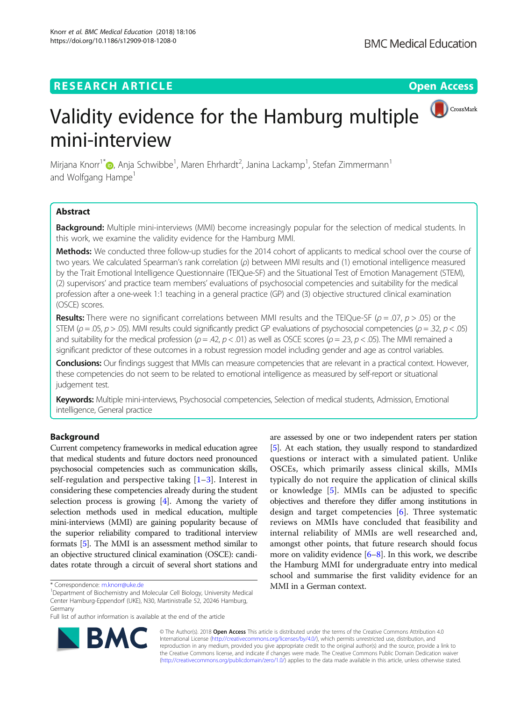## **RESEARCH ARTICLE Example 2018 12:30 THE Open Access**



# Validity evidence for the Hamburg multiple mini-interview

Mirjana Knorr<sup>1[\\*](http://orcid.org/0000-0002-0996-9286)</sup>�, Anja Schwibbe<sup>1</sup>, Maren Ehrhardt<sup>2</sup>, Janina Lackamp<sup>1</sup>, Stefan Zimmermann<sup>1</sup> and Wolfgang Hampe<sup>1</sup>

## Abstract

Background: Multiple mini-interviews (MMI) become increasingly popular for the selection of medical students. In this work, we examine the validity evidence for the Hamburg MMI.

Methods: We conducted three follow-up studies for the 2014 cohort of applicants to medical school over the course of two years. We calculated Spearman's rank correlation (ρ) between MMI results and (1) emotional intelligence measured by the Trait Emotional Intelligence Questionnaire (TEIQue-SF) and the Situational Test of Emotion Management (STEM), (2) supervisors' and practice team members' evaluations of psychosocial competencies and suitability for the medical profession after a one-week 1:1 teaching in a general practice (GP) and (3) objective structured clinical examination (OSCE) scores.

**Results:** There were no significant correlations between MMI results and the TEIQue-SF ( $\rho = .07$ ,  $p > .05$ ) or the STEM ( $\rho = .05$ ,  $p > .05$ ). MMI results could significantly predict GP evaluations of psychosocial competencies ( $\rho = .32$ ,  $p < .05$ ) and suitability for the medical profession ( $\rho = A2$ ,  $p < .01$ ) as well as OSCE scores ( $\rho = .23$ ,  $p < .05$ ). The MMI remained a significant predictor of these outcomes in a robust regression model including gender and age as control variables.

Conclusions: Our findings suggest that MMIs can measure competencies that are relevant in a practical context. However, these competencies do not seem to be related to emotional intelligence as measured by self-report or situational judgement test.

Keywords: Multiple mini-interviews, Psychosocial competencies, Selection of medical students, Admission, Emotional intelligence, General practice

## Background

Current competency frameworks in medical education agree that medical students and future doctors need pronounced psychosocial competencies such as communication skills, self-regulation and perspective taking  $[1-3]$  $[1-3]$  $[1-3]$  $[1-3]$ . Interest in considering these competencies already during the student selection process is growing [\[4](#page-10-0)]. Among the variety of selection methods used in medical education, multiple mini-interviews (MMI) are gaining popularity because of the superior reliability compared to traditional interview formats [\[5\]](#page-10-0). The MMI is an assessment method similar to an objective structured clinical examination (OSCE): candidates rotate through a circuit of several short stations and



are assessed by one or two independent raters per station



© The Author(s). 2018 Open Access This article is distributed under the terms of the Creative Commons Attribution 4.0 International License [\(http://creativecommons.org/licenses/by/4.0/](http://creativecommons.org/licenses/by/4.0/)), which permits unrestricted use, distribution, and reproduction in any medium, provided you give appropriate credit to the original author(s) and the source, provide a link to the Creative Commons license, and indicate if changes were made. The Creative Commons Public Domain Dedication waiver [\(http://creativecommons.org/publicdomain/zero/1.0/](http://creativecommons.org/publicdomain/zero/1.0/)) applies to the data made available in this article, unless otherwise stated.

 $^*$  Correspondence: [m.knorr@uke.de](mailto:m.knorr@uke.de)<br><sup>1</sup>Department of Biochemistry and Molecular Cell Biology, University Medical **MMI in a German context.** Center Hamburg-Eppendorf (UKE), N30, Martinistraße 52, 20246 Hamburg, Germany

Full list of author information is available at the end of the article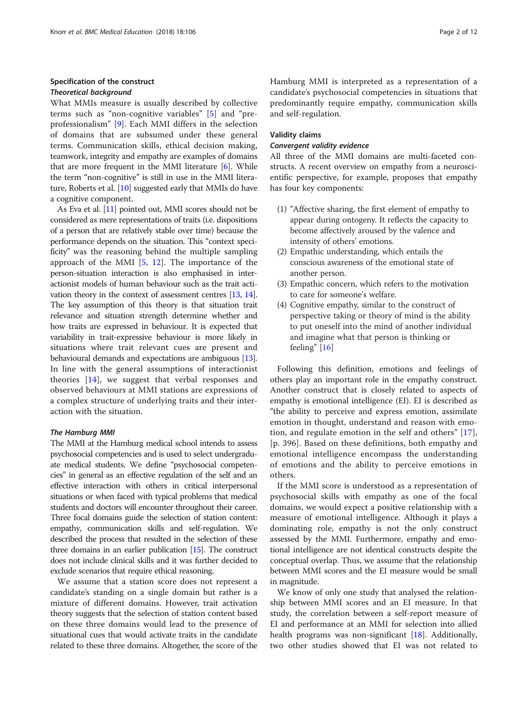## Specification of the construct Theoretical background

What MMIs measure is usually described by collective terms such as "non-cognitive variables" [[5\]](#page-10-0) and "preprofessionalism" [[9](#page-10-0)]. Each MMI differs in the selection of domains that are subsumed under these general terms. Communication skills, ethical decision making, teamwork, integrity and empathy are examples of domains that are more frequent in the MMI literature [\[6](#page-10-0)]. While the term "non-cognitive" is still in use in the MMI literature, Roberts et al. [\[10](#page-10-0)] suggested early that MMIs do have a cognitive component.

As Eva et al. [\[11\]](#page-10-0) pointed out, MMI scores should not be considered as mere representations of traits (i.e. dispositions of a person that are relatively stable over time) because the performance depends on the situation. This "context specificity" was the reasoning behind the multiple sampling approach of the MMI [[5,](#page-10-0) [12\]](#page-10-0). The importance of the person-situation interaction is also emphasised in interactionist models of human behaviour such as the trait activation theory in the context of assessment centres [\[13,](#page-10-0) [14](#page-10-0)]. The key assumption of this theory is that situation trait relevance and situation strength determine whether and how traits are expressed in behaviour. It is expected that variability in trait-expressive behaviour is more likely in situations where trait relevant cues are present and behavioural demands and expectations are ambiguous [\[13](#page-10-0)]. In line with the general assumptions of interactionist theories [\[14](#page-10-0)], we suggest that verbal responses and observed behaviours at MMI stations are expressions of a complex structure of underlying traits and their interaction with the situation.

#### The Hamburg MMI

The MMI at the Hamburg medical school intends to assess psychosocial competencies and is used to select undergraduate medical students. We define "psychosocial competencies" in general as an effective regulation of the self and an effective interaction with others in critical interpersonal situations or when faced with typical problems that medical students and doctors will encounter throughout their career. Three focal domains guide the selection of station content: empathy, communication skills and self-regulation. We described the process that resulted in the selection of these three domains in an earlier publication [\[15\]](#page-10-0). The construct does not include clinical skills and it was further decided to exclude scenarios that require ethical reasoning.

We assume that a station score does not represent a candidate's standing on a single domain but rather is a mixture of different domains. However, trait activation theory suggests that the selection of station content based on these three domains would lead to the presence of situational cues that would activate traits in the candidate related to these three domains. Altogether, the score of the Hamburg MMI is interpreted as a representation of a candidate's psychosocial competencies in situations that predominantly require empathy, communication skills and self-regulation.

#### Validity claims

## Convergent validity evidence

All three of the MMI domains are multi-faceted constructs. A recent overview on empathy from a neuroscientific perspective, for example, proposes that empathy has four key components:

- (1) "Affective sharing, the first element of empathy to appear during ontogeny. It reflects the capacity to become affectively aroused by the valence and intensity of others' emotions.
- (2) Empathic understanding, which entails the conscious awareness of the emotional state of another person.
- (3) Empathic concern, which refers to the motivation to care for someone's welfare.
- (4) Cognitive empathy, similar to the construct of perspective taking or theory of mind is the ability to put oneself into the mind of another individual and imagine what that person is thinking or feeling" [[16\]](#page-10-0)

Following this definition, emotions and feelings of others play an important role in the empathy construct. Another construct that is closely related to aspects of empathy is emotional intelligence (EI). EI is described as "the ability to perceive and express emotion, assimilate emotion in thought, understand and reason with emotion, and regulate emotion in the self and others" [[17](#page-10-0)], [p. 396]. Based on these definitions, both empathy and emotional intelligence encompass the understanding of emotions and the ability to perceive emotions in others.

If the MMI score is understood as a representation of psychosocial skills with empathy as one of the focal domains, we would expect a positive relationship with a measure of emotional intelligence. Although it plays a dominating role, empathy is not the only construct assessed by the MMI. Furthermore, empathy and emotional intelligence are not identical constructs despite the conceptual overlap. Thus, we assume that the relationship between MMI scores and the EI measure would be small in magnitude.

We know of only one study that analysed the relationship between MMI scores and an EI measure. In that study, the correlation between a self-report measure of EI and performance at an MMI for selection into allied health programs was non-significant  $[18]$  $[18]$  $[18]$ . Additionally, two other studies showed that EI was not related to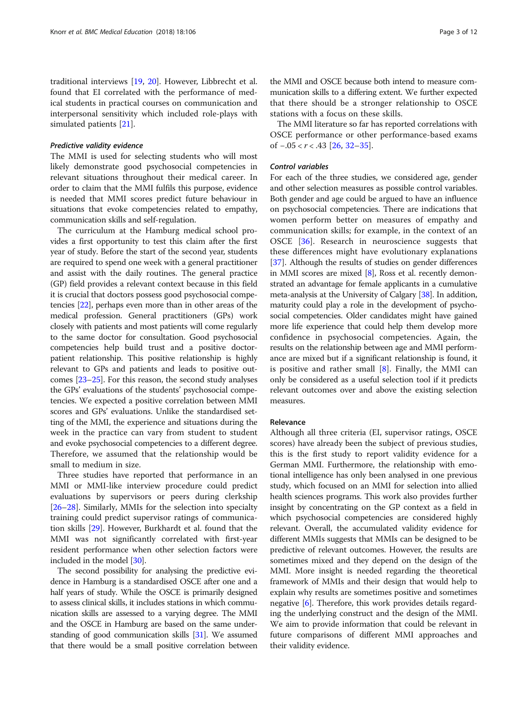traditional interviews [\[19,](#page-10-0) [20](#page-10-0)]. However, Libbrecht et al. found that EI correlated with the performance of medical students in practical courses on communication and interpersonal sensitivity which included role-plays with simulated patients [[21](#page-10-0)].

## Predictive validity evidence

The MMI is used for selecting students who will most likely demonstrate good psychosocial competencies in relevant situations throughout their medical career. In order to claim that the MMI fulfils this purpose, evidence is needed that MMI scores predict future behaviour in situations that evoke competencies related to empathy, communication skills and self-regulation.

The curriculum at the Hamburg medical school provides a first opportunity to test this claim after the first year of study. Before the start of the second year, students are required to spend one week with a general practitioner and assist with the daily routines. The general practice (GP) field provides a relevant context because in this field it is crucial that doctors possess good psychosocial competencies [\[22\]](#page-10-0), perhaps even more than in other areas of the medical profession. General practitioners (GPs) work closely with patients and most patients will come regularly to the same doctor for consultation. Good psychosocial competencies help build trust and a positive doctorpatient relationship. This positive relationship is highly relevant to GPs and patients and leads to positive outcomes [\[23](#page-10-0)–[25](#page-10-0)]. For this reason, the second study analyses the GPs' evaluations of the students' psychosocial competencies. We expected a positive correlation between MMI scores and GPs' evaluations. Unlike the standardised setting of the MMI, the experience and situations during the week in the practice can vary from student to student and evoke psychosocial competencies to a different degree. Therefore, we assumed that the relationship would be small to medium in size.

Three studies have reported that performance in an MMI or MMI-like interview procedure could predict evaluations by supervisors or peers during clerkship [[26](#page-10-0)–[28](#page-10-0)]. Similarly, MMIs for the selection into specialty training could predict supervisor ratings of communication skills [[29\]](#page-10-0). However, Burkhardt et al. found that the MMI was not significantly correlated with first-year resident performance when other selection factors were included in the model [\[30\]](#page-10-0).

The second possibility for analysing the predictive evidence in Hamburg is a standardised OSCE after one and a half years of study. While the OSCE is primarily designed to assess clinical skills, it includes stations in which communication skills are assessed to a varying degree. The MMI and the OSCE in Hamburg are based on the same understanding of good communication skills [\[31\]](#page-10-0). We assumed that there would be a small positive correlation between the MMI and OSCE because both intend to measure communication skills to a differing extent. We further expected that there should be a stronger relationship to OSCE stations with a focus on these skills.

The MMI literature so far has reported correlations with OSCE performance or other performance-based exams of  $-0.05 < r < .43$  [[26,](#page-10-0) [32](#page-10-0)–[35\]](#page-10-0).

## Control variables

For each of the three studies, we considered age, gender and other selection measures as possible control variables. Both gender and age could be argued to have an influence on psychosocial competencies. There are indications that women perform better on measures of empathy and communication skills; for example, in the context of an OSCE [[36\]](#page-10-0). Research in neuroscience suggests that these differences might have evolutionary explanations [[37\]](#page-10-0). Although the results of studies on gender differences in MMI scores are mixed [[8](#page-10-0)], Ross et al. recently demonstrated an advantage for female applicants in a cumulative meta-analysis at the University of Calgary [\[38\]](#page-10-0). In addition, maturity could play a role in the development of psychosocial competencies. Older candidates might have gained more life experience that could help them develop more confidence in psychosocial competencies. Again, the results on the relationship between age and MMI performance are mixed but if a significant relationship is found, it is positive and rather small  $[8]$  $[8]$ . Finally, the MMI can only be considered as a useful selection tool if it predicts relevant outcomes over and above the existing selection measures.

#### Relevance

Although all three criteria (EI, supervisor ratings, OSCE scores) have already been the subject of previous studies, this is the first study to report validity evidence for a German MMI. Furthermore, the relationship with emotional intelligence has only been analysed in one previous study, which focused on an MMI for selection into allied health sciences programs. This work also provides further insight by concentrating on the GP context as a field in which psychosocial competencies are considered highly relevant. Overall, the accumulated validity evidence for different MMIs suggests that MMIs can be designed to be predictive of relevant outcomes. However, the results are sometimes mixed and they depend on the design of the MMI. More insight is needed regarding the theoretical framework of MMIs and their design that would help to explain why results are sometimes positive and sometimes negative [\[6\]](#page-10-0). Therefore, this work provides details regarding the underlying construct and the design of the MMI. We aim to provide information that could be relevant in future comparisons of different MMI approaches and their validity evidence.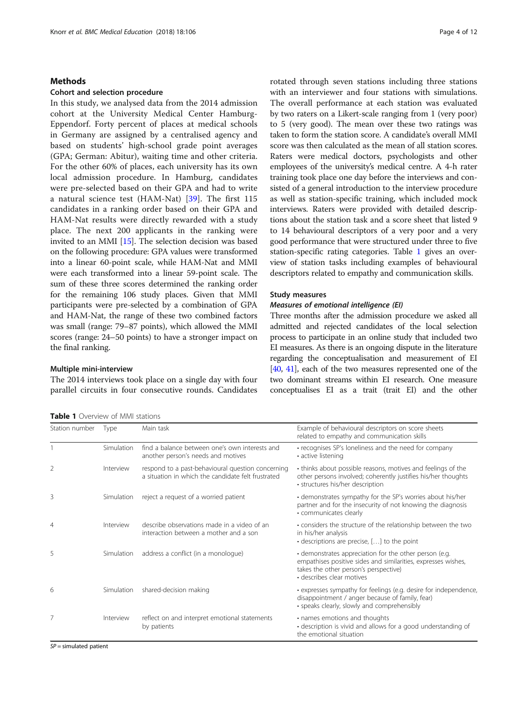### Methods

## Cohort and selection procedure

In this study, we analysed data from the 2014 admission cohort at the University Medical Center Hamburg-Eppendorf. Forty percent of places at medical schools in Germany are assigned by a centralised agency and based on students' high-school grade point averages (GPA; German: Abitur), waiting time and other criteria. For the other 60% of places, each university has its own local admission procedure. In Hamburg, candidates were pre-selected based on their GPA and had to write a natural science test (HAM-Nat) [[39\]](#page-10-0). The first 115 candidates in a ranking order based on their GPA and HAM-Nat results were directly rewarded with a study place. The next 200 applicants in the ranking were invited to an MMI [[15](#page-10-0)]. The selection decision was based on the following procedure: GPA values were transformed into a linear 60-point scale, while HAM-Nat and MMI were each transformed into a linear 59-point scale. The sum of these three scores determined the ranking order for the remaining 106 study places. Given that MMI participants were pre-selected by a combination of GPA and HAM-Nat, the range of these two combined factors was small (range: 79–87 points), which allowed the MMI scores (range: 24–50 points) to have a stronger impact on the final ranking.

#### Multiple mini-interview

The 2014 interviews took place on a single day with four parallel circuits in four consecutive rounds. Candidates

Table 1 Overview of MMI stations

rotated through seven stations including three stations with an interviewer and four stations with simulations. The overall performance at each station was evaluated by two raters on a Likert-scale ranging from 1 (very poor) to 5 (very good). The mean over these two ratings was taken to form the station score. A candidate's overall MMI score was then calculated as the mean of all station scores. Raters were medical doctors, psychologists and other employees of the university's medical centre. A 4-h rater training took place one day before the interviews and consisted of a general introduction to the interview procedure as well as station-specific training, which included mock interviews. Raters were provided with detailed descriptions about the station task and a score sheet that listed 9 to 14 behavioural descriptors of a very poor and a very good performance that were structured under three to five station-specific rating categories. Table 1 gives an overview of station tasks including examples of behavioural descriptors related to empathy and communication skills.

## Study measures

## Measures of emotional intelligence (EI)

Three months after the admission procedure we asked all admitted and rejected candidates of the local selection process to participate in an online study that included two EI measures. As there is an ongoing dispute in the literature regarding the conceptualisation and measurement of EI [[40](#page-10-0), [41](#page-10-0)], each of the two measures represented one of the two dominant streams within EI research. One measure conceptualises EI as a trait (trait EI) and the other

| Station number | Type       | Main task                                                                                               | Example of behavioural descriptors on score sheets<br>related to empathy and communication skills                                                                                             |
|----------------|------------|---------------------------------------------------------------------------------------------------------|-----------------------------------------------------------------------------------------------------------------------------------------------------------------------------------------------|
|                | Simulation | find a balance between one's own interests and<br>another person's needs and motives                    | • recognises SP's loneliness and the need for company<br>• active listening                                                                                                                   |
| $\overline{2}$ | Interview  | respond to a past-behavioural question concerning<br>a situation in which the candidate felt frustrated | • thinks about possible reasons, motives and feelings of the<br>other persons involved; coherently justifies his/her thoughts<br>• structures his/her description                             |
| 3              | Simulation | reject a request of a worried patient                                                                   | • demonstrates sympathy for the SP's worries about his/her<br>partner and for the insecurity of not knowing the diagnosis<br>• communicates clearly                                           |
| 4              | Interview  | describe observations made in a video of an<br>interaction between a mother and a son                   | • considers the structure of the relationship between the two<br>in his/her analysis<br>· descriptions are precise, [] to the point                                                           |
| 5              | Simulation | address a conflict (in a monologue)                                                                     | • demonstrates appreciation for the other person (e.g.<br>empathises positive sides and similarities, expresses wishes,<br>takes the other person's perspective)<br>· describes clear motives |
| 6              | Simulation | shared-decision making                                                                                  | · expresses sympathy for feelings (e.g. desire for independence,<br>disappointment / anger because of family, fear)<br>· speaks clearly, slowly and comprehensibly                            |
| 7              | Interview  | reflect on and interpret emotional statements<br>by patients                                            | . names emotions and thoughts<br>• description is vivid and allows for a good understanding of<br>the emotional situation                                                                     |

 $SP =$  simulated patient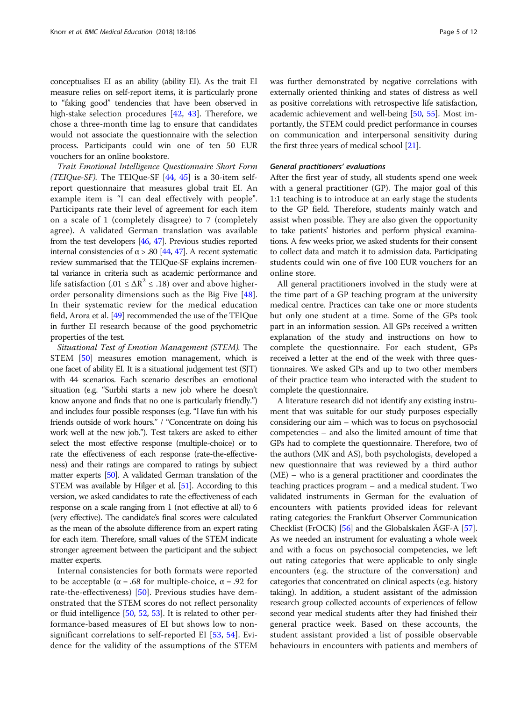conceptualises EI as an ability (ability EI). As the trait EI measure relies on self-report items, it is particularly prone to "faking good" tendencies that have been observed in high-stake selection procedures [\[42](#page-10-0), [43\]](#page-10-0). Therefore, we chose a three-month time lag to ensure that candidates would not associate the questionnaire with the selection process. Participants could win one of ten 50 EUR vouchers for an online bookstore.

(*TEIQue-SF*). The TEIQue-SF  $[44, 45]$  $[44, 45]$  $[44, 45]$  $[44, 45]$  $[44, 45]$  is a 30-item self-<br>report questionnaire that measures global trait EL An report questionnaire that measures global trait EI. An example item is "I can deal effectively with people". Participants rate their level of agreement for each item on a scale of 1 (completely disagree) to 7 (completely agree). A validated German translation was available from the test developers [[46](#page-10-0), [47\]](#page-10-0). Previous studies reported internal consistencies of  $\alpha$  > .80 [\[44](#page-10-0), [47](#page-10-0)]. A recent systematic review summarised that the TEIQue-SF explains incremental variance in criteria such as academic performance and life satisfaction (.01  $\leq \Delta R^2 \leq .18$ ) over and above higherorder personality dimensions such as the Big Five [\[48](#page-10-0)]. In their systematic review for the medical education field, Arora et al. [\[49\]](#page-10-0) recommended the use of the TEIQue in further EI research because of the good psychometric properties of the test.

Situational Test of Emotion Management (STEM). The STEM [[50\]](#page-11-0) measures emotion management, which is one facet of ability EI. It is a situational judgement test (SJT) with 44 scenarios. Each scenario describes an emotional situation (e.g. "Surbhi starts a new job where he doesn't know anyone and finds that no one is particularly friendly.") and includes four possible responses (e.g. "Have fun with his friends outside of work hours." / "Concentrate on doing his work well at the new job."). Test takers are asked to either select the most effective response (multiple-choice) or to rate the effectiveness of each response (rate-the-effectiveness) and their ratings are compared to ratings by subject matter experts [[50\]](#page-11-0). A validated German translation of the STEM was available by Hilger et al. [\[51\]](#page-11-0). According to this version, we asked candidates to rate the effectiveness of each response on a scale ranging from 1 (not effective at all) to 6 (very effective). The candidate's final scores were calculated as the mean of the absolute difference from an expert rating for each item. Therefore, small values of the STEM indicate stronger agreement between the participant and the subject matter experts.

Internal consistencies for both formats were reported to be acceptable (α = .68 for multiple-choice, α = .92 for rate-the-effectiveness) [[50\]](#page-11-0). Previous studies have demonstrated that the STEM scores do not reflect personality or fluid intelligence [\[50,](#page-11-0) [52,](#page-11-0) [53\]](#page-11-0). It is related to other performance-based measures of EI but shows low to nonsignificant correlations to self-reported EI [[53,](#page-11-0) [54](#page-11-0)]. Evidence for the validity of the assumptions of the STEM was further demonstrated by negative correlations with externally oriented thinking and states of distress as well as positive correlations with retrospective life satisfaction, academic achievement and well-being [\[50,](#page-11-0) [55](#page-11-0)]. Most importantly, the STEM could predict performance in courses on communication and interpersonal sensitivity during the first three years of medical school [[21\]](#page-10-0).

#### General practitioners' evaluations

After the first year of study, all students spend one week with a general practitioner (GP). The major goal of this 1:1 teaching is to introduce at an early stage the students to the GP field. Therefore, students mainly watch and assist when possible. They are also given the opportunity to take patients' histories and perform physical examinations. A few weeks prior, we asked students for their consent to collect data and match it to admission data. Participating students could win one of five 100 EUR vouchers for an online store.

All general practitioners involved in the study were at the time part of a GP teaching program at the university medical centre. Practices can take one or more students but only one student at a time. Some of the GPs took part in an information session. All GPs received a written explanation of the study and instructions on how to complete the questionnaire. For each student, GPs received a letter at the end of the week with three questionnaires. We asked GPs and up to two other members of their practice team who interacted with the student to complete the questionnaire.

A literature research did not identify any existing instrument that was suitable for our study purposes especially considering our aim – which was to focus on psychosocial competencies – and also the limited amount of time that GPs had to complete the questionnaire. Therefore, two of the authors (MK and AS), both psychologists, developed a new questionnaire that was reviewed by a third author (ME) – who is a general practitioner and coordinates the teaching practices program – and a medical student. Two validated instruments in German for the evaluation of encounters with patients provided ideas for relevant rating categories: the Frankfurt Observer Communication Checklist (FrOCK) [[56](#page-11-0)] and the Globalskalen ÄGF-A [[57](#page-11-0)]. As we needed an instrument for evaluating a whole week and with a focus on psychosocial competencies, we left out rating categories that were applicable to only single encounters (e.g. the structure of the conversation) and categories that concentrated on clinical aspects (e.g. history taking). In addition, a student assistant of the admission research group collected accounts of experiences of fellow second year medical students after they had finished their general practice week. Based on these accounts, the student assistant provided a list of possible observable behaviours in encounters with patients and members of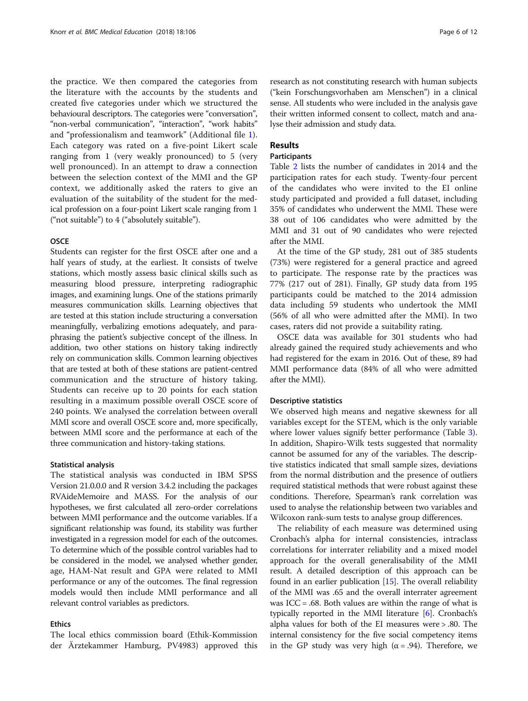the practice. We then compared the categories from the literature with the accounts by the students and created five categories under which we structured the behavioural descriptors. The categories were "conversation", "non-verbal communication", "interaction", "work habits" and "professionalism and teamwork" (Additional file [1](#page-9-0)). Each category was rated on a five-point Likert scale ranging from 1 (very weakly pronounced) to 5 (very well pronounced). In an attempt to draw a connection between the selection context of the MMI and the GP context, we additionally asked the raters to give an evaluation of the suitability of the student for the medical profession on a four-point Likert scale ranging from 1 ("not suitable") to 4 ("absolutely suitable").

## **OSCE**

Students can register for the first OSCE after one and a half years of study, at the earliest. It consists of twelve stations, which mostly assess basic clinical skills such as measuring blood pressure, interpreting radiographic images, and examining lungs. One of the stations primarily measures communication skills. Learning objectives that are tested at this station include structuring a conversation meaningfully, verbalizing emotions adequately, and paraphrasing the patient's subjective concept of the illness. In addition, two other stations on history taking indirectly rely on communication skills. Common learning objectives that are tested at both of these stations are patient-centred communication and the structure of history taking. Students can receive up to 20 points for each station resulting in a maximum possible overall OSCE score of 240 points. We analysed the correlation between overall MMI score and overall OSCE score and, more specifically, between MMI score and the performance at each of the three communication and history-taking stations.

#### Statistical analysis

The statistical analysis was conducted in IBM SPSS Version 21.0.0.0 and R version 3.4.2 including the packages RVAideMemoire and MASS. For the analysis of our hypotheses, we first calculated all zero-order correlations between MMI performance and the outcome variables. If a significant relationship was found, its stability was further investigated in a regression model for each of the outcomes. To determine which of the possible control variables had to be considered in the model, we analysed whether gender, age, HAM-Nat result and GPA were related to MMI performance or any of the outcomes. The final regression models would then include MMI performance and all relevant control variables as predictors.

## Ethics

The local ethics commission board (Ethik-Kommission der Ärztekammer Hamburg, PV4983) approved this

research as not constituting research with human subjects ("kein Forschungsvorhaben am Menschen") in a clinical sense. All students who were included in the analysis gave their written informed consent to collect, match and analyse their admission and study data.

## Results

#### **Participants**

Table [2](#page-6-0) lists the number of candidates in 2014 and the participation rates for each study. Twenty-four percent of the candidates who were invited to the EI online study participated and provided a full dataset, including 35% of candidates who underwent the MMI. These were 38 out of 106 candidates who were admitted by the MMI and 31 out of 90 candidates who were rejected after the MMI.

At the time of the GP study, 281 out of 385 students (73%) were registered for a general practice and agreed to participate. The response rate by the practices was 77% (217 out of 281). Finally, GP study data from 195 participants could be matched to the 2014 admission data including 59 students who undertook the MMI (56% of all who were admitted after the MMI). In two cases, raters did not provide a suitability rating.

OSCE data was available for 301 students who had already gained the required study achievements and who had registered for the exam in 2016. Out of these, 89 had MMI performance data (84% of all who were admitted after the MMI).

#### Descriptive statistics

We observed high means and negative skewness for all variables except for the STEM, which is the only variable where lower values signify better performance (Table [3](#page-6-0)). In addition, Shapiro-Wilk tests suggested that normality cannot be assumed for any of the variables. The descriptive statistics indicated that small sample sizes, deviations from the normal distribution and the presence of outliers required statistical methods that were robust against these conditions. Therefore, Spearman's rank correlation was used to analyse the relationship between two variables and Wilcoxon rank-sum tests to analyse group differences.

The reliability of each measure was determined using Cronbach's alpha for internal consistencies, intraclass correlations for interrater reliability and a mixed model approach for the overall generalisability of the MMI result. A detailed description of this approach can be found in an earlier publication [[15](#page-10-0)]. The overall reliability of the MMI was .65 and the overall interrater agreement was ICC = .68. Both values are within the range of what is typically reported in the MMI literature [\[6\]](#page-10-0). Cronbach's alpha values for both of the EI measures were > .80. The internal consistency for the five social competency items in the GP study was very high ( $α = .94$ ). Therefore, we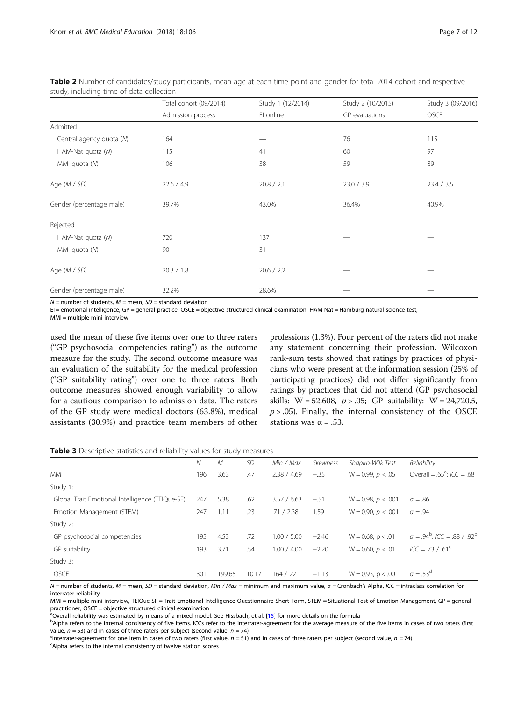|                          | Total cohort (09/2014) | Study 1 (12/2014) | Study 2 (10/2015) | Study 3 (09/2016) |  |
|--------------------------|------------------------|-------------------|-------------------|-------------------|--|
|                          | Admission process      | El online         | GP evaluations    | <b>OSCE</b>       |  |
| Admitted                 |                        |                   |                   |                   |  |
| Central agency quota (N) | 164                    |                   | 76                | 115               |  |
| HAM-Nat quota (N)        | 115                    | 41                | 60                | 97                |  |
| MMI quota (N)            | 106                    | 38                | 59                | 89                |  |
| Age (M / SD)             | 22.6 / 4.9             | 20.8 / 2.1        | 23.0 / 3.9        | 23.4 / 3.5        |  |
| Gender (percentage male) | 39.7%                  | 43.0%             | 36.4%             | 40.9%             |  |
| Rejected                 |                        |                   |                   |                   |  |
| HAM-Nat quota (N)        | 720                    | 137               |                   |                   |  |
| MMI quota (N)            | 90                     | 31                |                   |                   |  |
| Age $(M / SD)$           | 20.3 / 1.8             | 20.6 / 2.2        |                   |                   |  |
| Gender (percentage male) | 32.2%                  | 28.6%             |                   |                   |  |

<span id="page-6-0"></span>Table 2 Number of candidates/study participants, mean age at each time point and gender for total 2014 cohort and respective study, including time of data collection

 $N =$  number of students,  $M =$  mean,  $SD =$  standard deviation

EI = emotional intelligence, GP = general practice, OSCE = objective structured clinical examination, HAM-Nat = Hamburg natural science test,

MMI = multiple mini-interview

used the mean of these five items over one to three raters ("GP psychosocial competencies rating") as the outcome measure for the study. The second outcome measure was an evaluation of the suitability for the medical profession ("GP suitability rating") over one to three raters. Both outcome measures showed enough variability to allow for a cautious comparison to admission data. The raters of the GP study were medical doctors (63.8%), medical assistants (30.9%) and practice team members of other

professions (1.3%). Four percent of the raters did not make any statement concerning their profession. Wilcoxon rank-sum tests showed that ratings by practices of physicians who were present at the information session (25% of participating practices) did not differ significantly from ratings by practices that did not attend (GP psychosocial skills:  $W = 52,608, p > .05; GP suitable. We have: 24,720.5,$  $p > .05$ ). Finally, the internal consistency of the OSCE stations was  $\alpha = .53$ .

**Table 3** Descriptive statistics and reliability values for study measures

|                                                 | Ν   | М      | <b>SD</b> | Min / Max   | Skewness | Shapiro-Wilk Test       | Reliability                                |
|-------------------------------------------------|-----|--------|-----------|-------------|----------|-------------------------|--------------------------------------------|
| <b>MMI</b>                                      | 196 | 3.63   | .47       | 2.38 / 4.69 | $-.35$   | $W = 0.99$ , $p < 0.05$ | Overall = .65 <sup>a</sup> : $ICC = .68$   |
| Study 1:                                        |     |        |           |             |          |                         |                                            |
| Global Trait Emotional Intelligence (TEIQue-SF) | 247 | 5.38   | .62       | 3.57 / 6.63 | $-.51$   | $W = 0.98, p < 0.001$   | $a = .86$                                  |
| Emotion Management (STEM)                       | 247 | 1.11   | .23       | .71 / 2.38  | 1.59     | $W = 0.90, p < 0.001$   | $a = .94$                                  |
| Study 2:                                        |     |        |           |             |          |                         |                                            |
| GP psychosocial competencies                    | 195 | 4.53   | .72       | 1.00 / 5.00 | $-2.46$  | $W = 0.68$ , $p < .01$  | $q = .94^b$ : ICC = .88 / .92 <sup>b</sup> |
| GP suitability                                  | 193 | 3.71   | .54       | 1.00 / 4.00 | $-2.20$  | $W = 0.60, p < 0.01$    | $ICC = .73 / .61^c$                        |
| Study 3:                                        |     |        |           |             |          |                         |                                            |
| <b>OSCE</b>                                     | 301 | 199.65 | 10.17     | 164 / 221   | $-1.13$  | $W = 0.93$ , $p < .001$ | $a = .53^{\circ}$                          |

 $N$  = number of students,  $M$  = mean, SD = standard deviation, Min / Max = minimum and maximum value,  $\alpha$  = Cronbach's Alpha, ICC = intraclass correlation for interrater reliability

MMI = multiple mini-interview, TEIQue-SF = Trait Emotional Intelligence Questionnaire Short Form, STEM = Situational Test of Emotion Management, GP = general practitioner, OSCE = objective structured clinical examination

a<br>Belief the state of the internal consistency of five items ICCs refer to the interrate-sargement for the average measure

<sup>b</sup>Alpha refers to the internal consistency of five items. ICCs refer to the interrater-agreement for the average measure of the five items in cases of two raters (first value,  $n = 53$ ) and in cases of three raters per subject (second value,  $n = 74$ )

<sup>c</sup>Interrater-agreement for one item in cases of two raters (first value,  $n = 51$ ) and in cases of three raters per subject (second value,  $n = 74$ ) Alpha refers to the internal consistency of twelve station scores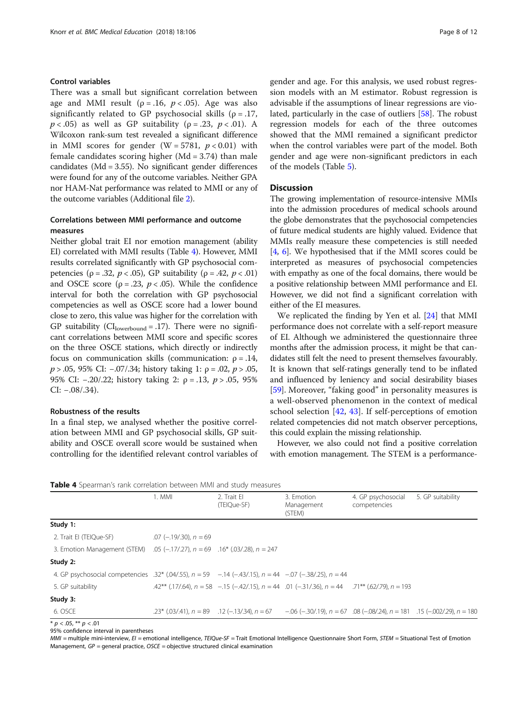## Control variables

There was a small but significant correlation between age and MMI result ( $\rho = .16$ ,  $p < .05$ ). Age was also significantly related to GP psychosocial skills ( $\rho = .17$ ,  $p < .05$ ) as well as GP suitability ( $p = .23$ ,  $p < .01$ ). A Wilcoxon rank-sum test revealed a significant difference in MMI scores for gender (W = 5781,  $p < 0.01$ ) with female candidates scoring higher  $(Md = 3.74)$  than male candidates (Md = 3.55). No significant gender differences were found for any of the outcome variables. Neither GPA nor HAM-Nat performance was related to MMI or any of the outcome variables (Additional file [2](#page-9-0)).

## Correlations between MMI performance and outcome measures

Neither global trait EI nor emotion management (ability EI) correlated with MMI results (Table 4). However, MMI results correlated significantly with GP psychosocial competencies ( $\rho = .32$ ,  $p < .05$ ), GP suitability ( $\rho = .42$ ,  $p < .01$ ) and OSCE score ( $\rho = .23$ ,  $p < .05$ ). While the confidence interval for both the correlation with GP psychosocial competencies as well as OSCE score had a lower bound close to zero, this value was higher for the correlation with GP suitability ( $CI<sub>lowerbound</sub> = .17$ ). There were no significant correlations between MMI score and specific scores on the three OSCE stations, which directly or indirectly focus on communication skills (communication:  $\rho = .14$ ,  $p > .05$ , 95% CI: -.07/.34; history taking 1:  $p = .02$ ,  $p > .05$ , 95% CI: −.20/.22; history taking 2: ρ = .13, *p* > .05, 95%  $CI: -.08/.34).$ 

## Robustness of the results

In a final step, we analysed whether the positive correlation between MMI and GP psychosocial skills, GP suitability and OSCE overall score would be sustained when controlling for the identified relevant control variables of gender and age. For this analysis, we used robust regression models with an M estimator. Robust regression is advisable if the assumptions of linear regressions are violated, particularly in the case of outliers [[58\]](#page-11-0). The robust regression models for each of the three outcomes showed that the MMI remained a significant predictor when the control variables were part of the model. Both gender and age were non-significant predictors in each of the models (Table [5\)](#page-8-0).

## **Discussion**

The growing implementation of resource-intensive MMIs into the admission procedures of medical schools around the globe demonstrates that the psychosocial competencies of future medical students are highly valued. Evidence that MMIs really measure these competencies is still needed [[4,](#page-10-0) [6](#page-10-0)]. We hypothesised that if the MMI scores could be interpreted as measures of psychosocial competencies with empathy as one of the focal domains, there would be a positive relationship between MMI performance and EI. However, we did not find a significant correlation with either of the EI measures.

We replicated the finding by Yen et al. [\[24](#page-10-0)] that MMI performance does not correlate with a self-report measure of EI. Although we administered the questionnaire three months after the admission process, it might be that candidates still felt the need to present themselves favourably. It is known that self-ratings generally tend to be inflated and influenced by leniency and social desirability biases [[59](#page-11-0)]. Moreover, "faking good" in personality measures is a well-observed phenomenon in the context of medical school selection [\[42](#page-10-0), [43](#page-10-0)]. If self-perceptions of emotion related competencies did not match observer perceptions, this could explain the missing relationship.

However, we also could not find a positive correlation with emotion management. The STEM is a performance-

|  | Table 4 Spearman's rank correlation between MMI and study measures |  |  |  |  |
|--|--------------------------------------------------------------------|--|--|--|--|
|--|--------------------------------------------------------------------|--|--|--|--|

|                                                                                                              | 1. MMI                     | 2. Trait El<br>(TEIQue-SF) | 3. Emotion<br>Management<br>(STEM)                                                                                     | 4. GP psychosocial<br>competencies | 5. GP suitability |
|--------------------------------------------------------------------------------------------------------------|----------------------------|----------------------------|------------------------------------------------------------------------------------------------------------------------|------------------------------------|-------------------|
| Study 1:                                                                                                     |                            |                            |                                                                                                                        |                                    |                   |
| 2. Trait El (TEIQue-SF)                                                                                      | $.07$ (-.19/.30), $n = 69$ |                            |                                                                                                                        |                                    |                   |
| 3. Emotion Management (STEM) .05 (-.17/.27), $n = 69$ .16* (.03/.28), $n = 247$                              |                            |                            |                                                                                                                        |                                    |                   |
| Study 2:                                                                                                     |                            |                            |                                                                                                                        |                                    |                   |
| 4. GP psychosocial competencies $.32^*$ (04/.55), $n = 59 -14$ (-.43/.15), $n = 44 -07$ (-.38/.25), $n = 44$ |                            |                            |                                                                                                                        |                                    |                   |
| 5. GP suitability                                                                                            |                            |                            | .42** (.17/.64), $n = 58 - 0.15$ (-.42/.15), $n = 44$ .01 (-.31/.36), $n = 44$ .71** (.62/.79), $n = 193$              |                                    |                   |
| Study 3:                                                                                                     |                            |                            |                                                                                                                        |                                    |                   |
| 6. OSCE                                                                                                      |                            |                            | .23* (.03/.41), n = 89 .12 (-.13/.34), n = 67 -.06 (-.30/.19), n = 67 .08 (-.08/.24), n = 181 .15 (-.002/.29), n = 180 |                                    |                   |

\*  $p < .05$ , \*\*  $p < .01$ 

95% confidence interval in parentheses

MMI = multiple mini-interview, EI = emotional intelligence, TEIQue-SF = Trait Emotional Intelligence Questionnaire Short Form, STEM = Situational Test of Emotion Management,  $GP =$  general practice,  $OSCE =$  objective structured clinical examination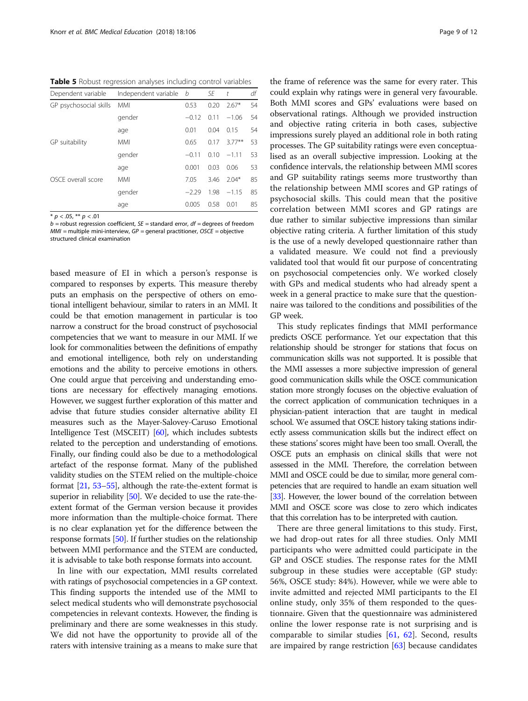<span id="page-8-0"></span>Table 5 Robust regression analyses including control variables

| Dependent variable     | Independent variable | b       | SE   | t         | df |
|------------------------|----------------------|---------|------|-----------|----|
| GP psychosocial skills | <b>MMI</b>           | 0.53    | 0.20 | $2.67*$   | 54 |
|                        | gender               | $-0.12$ | 0.11 | $-1.06$   | 54 |
|                        | age                  | 0.01    | 0.04 | 0.15      | 54 |
| GP suitability         | <b>MMI</b>           | 0.65    | 0.17 | $3.77***$ | 53 |
|                        | gender               | $-0.11$ | 0.10 | $-1.11$   | 53 |
|                        | age                  | 0.001   | 0.03 | 0.06      | 53 |
| OSCE overall score     | <b>MMI</b>           | 7.05    | 3.46 | $2.04*$   | 85 |
|                        | gender               | $-2.29$ | 1.98 | $-1.15$   | 85 |
|                        | age                  | 0.005   | 0.58 | 0.01      | 85 |

\*  $p < .05$ , \*\*  $p < .01$ 

 $b$  = robust regression coefficient, SE = standard error,  $df$  = degrees of freedom  $MMI$  = multiple mini-interview,  $GP$  = general practitioner,  $OSCE$  = objective structured clinical examination

based measure of EI in which a person's response is compared to responses by experts. This measure thereby puts an emphasis on the perspective of others on emotional intelligent behaviour, similar to raters in an MMI. It could be that emotion management in particular is too narrow a construct for the broad construct of psychosocial competencies that we want to measure in our MMI. If we look for commonalities between the definitions of empathy and emotional intelligence, both rely on understanding emotions and the ability to perceive emotions in others. One could argue that perceiving and understanding emotions are necessary for effectively managing emotions. However, we suggest further exploration of this matter and advise that future studies consider alternative ability EI measures such as the Mayer-Salovey-Caruso Emotional Intelligence Test (MSCEIT) [[60](#page-11-0)], which includes subtests related to the perception and understanding of emotions. Finally, our finding could also be due to a methodological artefact of the response format. Many of the published validity studies on the STEM relied on the multiple-choice format [[21](#page-10-0), [53](#page-11-0)–[55](#page-11-0)], although the rate-the-extent format is superior in reliability [\[50\]](#page-11-0). We decided to use the rate-theextent format of the German version because it provides more information than the multiple-choice format. There is no clear explanation yet for the difference between the response formats [\[50\]](#page-11-0). If further studies on the relationship between MMI performance and the STEM are conducted, it is advisable to take both response formats into account.

In line with our expectation, MMI results correlated with ratings of psychosocial competencies in a GP context. This finding supports the intended use of the MMI to select medical students who will demonstrate psychosocial competencies in relevant contexts. However, the finding is preliminary and there are some weaknesses in this study. We did not have the opportunity to provide all of the raters with intensive training as a means to make sure that

the frame of reference was the same for every rater. This could explain why ratings were in general very favourable. Both MMI scores and GPs' evaluations were based on observational ratings. Although we provided instruction and objective rating criteria in both cases, subjective impressions surely played an additional role in both rating processes. The GP suitability ratings were even conceptualised as an overall subjective impression. Looking at the confidence intervals, the relationship between MMI scores and GP suitability ratings seems more trustworthy than the relationship between MMI scores and GP ratings of psychosocial skills. This could mean that the positive correlation between MMI scores and GP ratings are due rather to similar subjective impressions than similar objective rating criteria. A further limitation of this study is the use of a newly developed questionnaire rather than a validated measure. We could not find a previously validated tool that would fit our purpose of concentrating on psychosocial competencies only. We worked closely with GPs and medical students who had already spent a week in a general practice to make sure that the questionnaire was tailored to the conditions and possibilities of the GP week.

This study replicates findings that MMI performance predicts OSCE performance. Yet our expectation that this relationship should be stronger for stations that focus on communication skills was not supported. It is possible that the MMI assesses a more subjective impression of general good communication skills while the OSCE communication station more strongly focuses on the objective evaluation of the correct application of communication techniques in a physician-patient interaction that are taught in medical school. We assumed that OSCE history taking stations indirectly assess communication skills but the indirect effect on these stations'scores might have been too small. Overall, the OSCE puts an emphasis on clinical skills that were not assessed in the MMI. Therefore, the correlation between MMI and OSCE could be due to similar, more general competencies that are required to handle an exam situation well [[33\]](#page-10-0). However, the lower bound of the correlation between MMI and OSCE score was close to zero which indicates that this correlation has to be interpreted with caution.

There are three general limitations to this study. First, we had drop-out rates for all three studies. Only MMI participants who were admitted could participate in the GP and OSCE studies. The response rates for the MMI subgroup in these studies were acceptable (GP study: 56%, OSCE study: 84%). However, while we were able to invite admitted and rejected MMI participants to the EI online study, only 35% of them responded to the questionnaire. Given that the questionnaire was administered online the lower response rate is not surprising and is comparable to similar studies  $[61, 62]$  $[61, 62]$  $[61, 62]$  $[61, 62]$  $[61, 62]$ . Second, results are impaired by range restriction  $[63]$  $[63]$  because candidates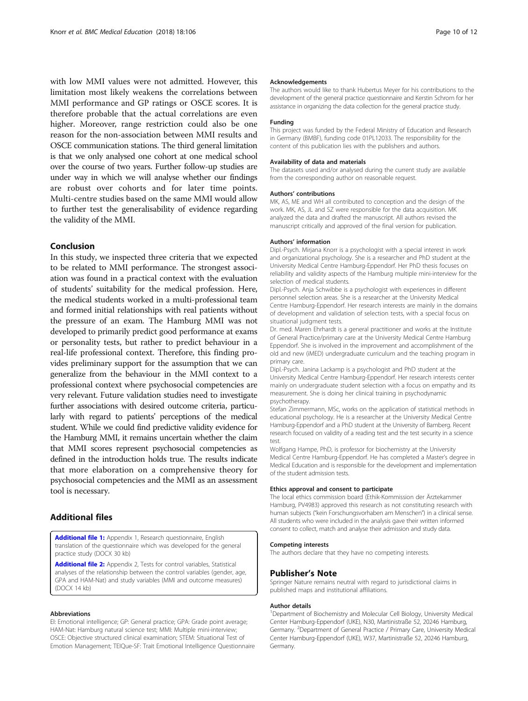<span id="page-9-0"></span>with low MMI values were not admitted. However, this limitation most likely weakens the correlations between MMI performance and GP ratings or OSCE scores. It is therefore probable that the actual correlations are even higher. Moreover, range restriction could also be one reason for the non-association between MMI results and OSCE communication stations. The third general limitation is that we only analysed one cohort at one medical school over the course of two years. Further follow-up studies are under way in which we will analyse whether our findings are robust over cohorts and for later time points. Multi-centre studies based on the same MMI would allow to further test the generalisability of evidence regarding the validity of the MMI.

## Conclusion

In this study, we inspected three criteria that we expected to be related to MMI performance. The strongest association was found in a practical context with the evaluation of students' suitability for the medical profession. Here, the medical students worked in a multi-professional team and formed initial relationships with real patients without the pressure of an exam. The Hamburg MMI was not developed to primarily predict good performance at exams or personality tests, but rather to predict behaviour in a real-life professional context. Therefore, this finding provides preliminary support for the assumption that we can generalize from the behaviour in the MMI context to a professional context where psychosocial competencies are very relevant. Future validation studies need to investigate further associations with desired outcome criteria, particularly with regard to patients' perceptions of the medical student. While we could find predictive validity evidence for the Hamburg MMI, it remains uncertain whether the claim that MMI scores represent psychosocial competencies as defined in the introduction holds true. The results indicate that more elaboration on a comprehensive theory for psychosocial competencies and the MMI as an assessment tool is necessary.

## Additional files

[Additional file 1:](https://doi.org/10.1186/s12909-018-1208-0) Appendix 1, Research questionnaire, English translation of the questionnaire which was developed for the general practice study (DOCX 30 kb)

[Additional file 2:](https://doi.org/10.1186/s12909-018-1208-0) Appendix 2, Tests for control variables, Statistical analyses of the relationship between the control variables (gender, age, GPA and HAM-Nat) and study variables (MMI and outcome measures) (DOCX 14 kb)

#### Abbreviations

EI: Emotional intelligence; GP: General practice; GPA: Grade point average; HAM-Nat: Hamburg natural science test; MMI: Multiple mini-interview; OSCE: Objective structured clinical examination; STEM: Situational Test of Emotion Management; TEIQue-SF: Trait Emotional Intelligence Questionnaire

#### Acknowledgements

The authors would like to thank Hubertus Meyer for his contributions to the development of the general practice questionnaire and Kerstin Schrom for her assistance in organizing the data collection for the general practice study.

#### Funding

This project was funded by the Federal Ministry of Education and Research in Germany (BMBF), funding code 01PL12033. The responsibility for the content of this publication lies with the publishers and authors.

#### Availability of data and materials

The datasets used and/or analysed during the current study are available from the corresponding author on reasonable request.

#### Authors' contributions

MK, AS, ME and WH all contributed to conception and the design of the work. MK, AS, JL and SZ were responsible for the data acquisition. MK analyzed the data and drafted the manuscript. All authors revised the manuscript critically and approved of the final version for publication.

#### Authors' information

Dipl.-Psych. Mirjana Knorr is a psychologist with a special interest in work and organizational psychology. She is a researcher and PhD student at the University Medical Centre Hamburg-Eppendorf. Her PhD thesis focuses on reliability and validity aspects of the Hamburg multiple mini-interview for the selection of medical students.

Dipl.-Psych. Anja Schwibbe is a psychologist with experiences in different personnel selection areas. She is a researcher at the University Medical Centre Hamburg-Eppendorf. Her research interests are mainly in the domains of development and validation of selection tests, with a special focus on situational judgment tests.

Dr. med. Maren Ehrhardt is a general practitioner and works at the Institute of General Practice/primary care at the University Medical Centre Hamburg Eppendorf. She is involved in the improvement and accomplishment of the old and new (iMED) undergraduate curriculum and the teaching program in primary care.

Dipl.-Psych. Janina Lackamp is a psychologist and PhD student at the University Medical Centre Hamburg-Eppendorf. Her research interests center mainly on undergraduate student selection with a focus on empathy and its measurement. She is doing her clinical training in psychodynamic psychotherapy.

Stefan Zimmermann, MSc, works on the application of statistical methods in educational psychology. He is a researcher at the University Medical Centre Hamburg-Eppendorf and a PhD student at the University of Bamberg. Recent research focused on validity of a reading test and the test security in a science test.

Wolfgang Hampe, PhD, is professor for biochemistry at the University Medical Centre Hamburg-Eppendorf. He has completed a Master's degree in Medical Education and is responsible for the development and implementation of the student admission tests.

#### Ethics approval and consent to participate

The local ethics commission board (Ethik-Kommission der Ärztekammer Hamburg, PV4983) approved this research as not constituting research with human subjects ("kein Forschungsvorhaben am Menschen") in a clinical sense. All students who were included in the analysis gave their written informed consent to collect, match and analyse their admission and study data.

#### Competing interests

The authors declare that they have no competing interests.

#### Publisher's Note

Springer Nature remains neutral with regard to jurisdictional claims in published maps and institutional affiliations.

#### Author details

<sup>1</sup>Department of Biochemistry and Molecular Cell Biology, University Medical Center Hamburg-Eppendorf (UKE), N30, Martinistraße 52, 20246 Hamburg, Germany. <sup>2</sup>Department of General Practice / Primary Care, University Medical Center Hamburg-Eppendorf (UKE), W37, Martinistraße 52, 20246 Hamburg, Germany.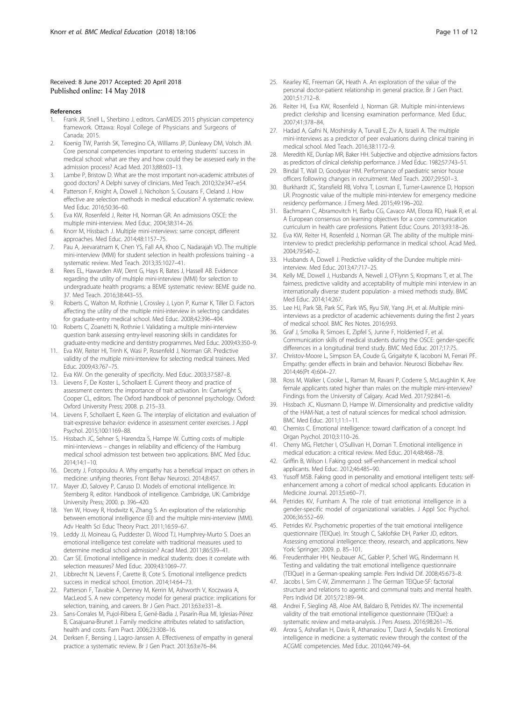#### <span id="page-10-0"></span>Received: 8 June 2017 Accepted: 20 April 2018 Published online: 14 May 2018

#### References

- 1. Frank JR, Snell L, Sherbino J, editors. CanMEDS 2015 physician competency framework. Ottawa: Royal College of Physicians and Surgeons of Canada; 2015.
- 2. Koenig TW, Parrish SK, Terregino CA, Williams JP, Dunleavy DM, Volsch JM. Core personal competencies important to entering students' success in medical school: what are they and how could they be assessed early in the admission process? Acad Med. 2013;88:603–13.
- Lambe P, Bristow D. What are the most important non-academic attributes of good doctors? A Delphi survey of clinicians. Med Teach. 2010;32:e347–e54.
- 4. Patterson F, Knight A, Dowell J, Nicholson S, Cousans F, Cleland J. How effective are selection methods in medical education? A systematic review. Med Educ. 2016;50:36–60.
- 5. Eva KW, Rosenfeld J, Reiter HI, Norman GR. An admissions OSCE: the multiple mini-interview. Med Educ. 2004;38:314–26.
- Knorr M, Hissbach J. Multiple mini-interviews: same concept, different approaches. Med Educ. 2014;48:1157–75.
- 7. Pau A, Jeevaratnam K, Chen YS, Fall AA, Khoo C, Nadarajah VD. The multiple mini-interview (MMI) for student selection in health professions training - a systematic review. Med Teach. 2013;35:1027–41.
- Rees EL, Hawarden AW, Dent G, Hays R, Bates J, Hassell AB. Evidence regarding the utility of multiple mini-interview (MMI) for selection to undergraduate health programs: a BEME systematic review: BEME guide no. 37. Med Teach. 2016;38:443–55.
- 9. Roberts C, Walton M, Rothnie I, Crossley J, Lyon P, Kumar K, Tiller D. Factors affecting the utility of the multiple mini-interview in selecting candidates for graduate-entry medical school. Med Educ. 2008;42:396–404.
- 10. Roberts C, Zoanetti N, Rothnie I. Validating a multiple mini-interview question bank assessing entry-level reasoning skills in candidates for graduate-entry medicine and dentistry programmes. Med Educ. 2009;43:350–9.
- 11. Eva KW, Reiter HI, Trinh K, Wasi P, Rosenfeld J, Norman GR. Predictive validity of the multiple mini-interview for selecting medical trainees. Med Educ. 2009;43:767–75.
- 12. Eva KW. On the generality of specificity. Med Educ. 2003;37:587–8.
- 13. Lievens F, De Koster L, Schollaert E. Current theory and practice of assessment centers: the importance of trait activation. In: Cartwright S, Cooper CL, editors. The Oxford handbook of personnel psychology. Oxford: Oxford University Press; 2008. p. 215–33.
- 14. Lievens F, Schollaert E, Keen G. The interplay of elicitation and evaluation of trait-expressive behavior: evidence in assessment center exercises. J Appl Psychol. 2015;100:1169–88.
- 15. Hissbach JC, Sehner S, Harendza S, Hampe W. Cutting costs of multiple mini-interviews – changes in reliability and efficiency of the Hamburg medical school admission test between two applications. BMC Med Educ. 2014;14:1–10.
- 16. Decety J, Fotopoulou A. Why empathy has a beneficial impact on others in medicine: unifying theories. Front Behav Neurosci. 2014;8:457.
- 17. Mayer JD, Salovey P, Caruso D. Models of emotional intelligence. In: Sternberg R, editor. Handbook of intelligence. Cambridge, UK: Cambridge University Press; 2000. p. 396–420.
- 18. Yen W, Hovey R, Hodwitz K, Zhang S. An exploration of the relationship between emotional intelligence (EI) and the multiple mini-interview (MMI). Adv Health Sci Educ Theory Pract. 2011;16:59–67.
- 19. Leddy JJ, Moineau G, Puddester D, Wood TJ, Humphrey-Murto S. Does an emotional intelligence test correlate with traditional measures used to determine medical school admission? Acad Med. 2011;86:S39–41.
- 20. Carr SE. Emotional intelligence in medical students: does it correlate with selection measures? Med Educ. 2009;43:1069–77.
- 21. Libbrecht N, Lievens F, Carette B, Cote S. Emotional intelligence predicts success in medical school. Emotion. 2014;14:64–73.
- 22. Patterson F, Tavabie A, Denney M, Kerrin M, Ashworth V, Koczwara A, MacLeod S. A new competency model for general practice: implications for selection, training, and careers. Br J Gen Pract. 2013;63:e331–8.
- 23. Sans-Corrales M, Pujol-Ribera E, Gené-Badia J, Pasarín-Rua MI, Iglesias-Pérez B, Casajuana-Brunet J. Family medicine attributes related to satisfaction, health and costs. Fam Pract. 2006;23:308–16.
- 24. Derksen F, Bensing J, Lagro-Janssen A. Effectiveness of empathy in general practice: a systematic review. Br J Gen Pract. 2013;63:e76–84.
- 25. Kearley KE, Freeman GK, Heath A. An exploration of the value of the personal doctor-patient relationship in general practice. Br J Gen Pract. 2001;51:712–8.
- 26. Reiter HI, Eva KW, Rosenfeld J, Norman GR. Multiple mini-interviews predict clerkship and licensing examination performance. Med Educ. 2007;41:378–84.
- 27. Hadad A, Gafni N, Moshinsky A, Turvall E, Ziv A, Israeli A. The multiple mini-interviews as a predictor of peer evaluations during clinical training in medical school. Med Teach. 2016;38:1172–9.
- 28. Meredith KE, Dunlap MR, Baker HH. Subjective and objective admissions factors as predictors of clinical clerkship performance. J Med Educ. 1982;57:743–51.
- 29. Bindal T, Wall D, Goodyear HM. Performance of paediatric senior house officers following changes in recruitment. Med Teach. 2007;29:501–3.
- 30. Burkhardt JC, Stansfield RB, Vohra T, Losman E, Turner-Lawrence D, Hopson LR. Prognostic value of the multiple mini-interview for emergency medicine residency performance. J Emerg Med. 2015;49:196–202.
- 31. Bachmann C, Abramovitch H, Barbu CG, Cavaco AM, Elorza RD, Haak R, et al. A European consensus on learning objectives for a core communication curriculum in health care professions. Patient Educ Couns. 2013;93:18–26.
- 32. Eva KW, Reiter HI, Rosenfeld J, Norman GR. The ability of the multiple miniinterview to predict preclerkship performance in medical school. Acad Med. 2004;79:S40–2.
- 33. Husbands A, Dowell J. Predictive validity of the Dundee multiple miniinterview. Med Educ. 2013;47:717–25.
- Kelly ME, Dowell J, Husbands A, Newell J, O'Flynn S, Kropmans T, et al. The fairness, predictive validity and acceptability of multiple mini interview in an internationally diverse student population- a mixed methods study. BMC Med Educ. 2014;14:267.
- 35. Lee HJ, Park SB, Park SC, Park WS, Ryu SW, Yang JH, et al. Multiple miniinterviews as a predictor of academic achievements during the first 2 years of medical school. BMC Res Notes. 2016;9:93.
- 36. Graf J, Smolka R, Simoes E, Zipfel S, Junne F, Holderried F, et al. Communication skills of medical students during the OSCE: gender-specific differences in a longitudinal trend study. BMC Med Educ. 2017;17:75.
- 37. Christov-Moore L, Simpson EA, Coude G, Grigaityte K, Iacoboni M, Ferrari PF. Empathy: gender effects in brain and behavior. Neurosci Biobehav Rev. 2014;46(Pt 4):604–27.
- 38. Ross M, Walker I, Cooke L, Raman M, Ravani P, Coderre S, McLaughlin K. Are female applicants rated higher than males on the multiple mini-interview? Findings from the University of Calgary. Acad Med. 2017;92:841–6.
- 39. Hissbach JC, Klusmann D, Hampe W. Dimensionality and predictive validity of the HAM-Nat, a test of natural sciences for medical school admission. BMC Med Educ. 2011;11:1–11.
- 40. Cherniss C. Emotional intelligence: toward clarification of a concept. Ind Organ Psychol. 2010;3:110–26.
- 41. Cherry MG, Fletcher I, O'Sullivan H, Dornan T. Emotional intelligence in medical education: a critical review. Med Educ. 2014;48:468–78.
- 42. Griffin B, Wilson I. Faking good: self-enhancement in medical school applicants. Med Educ. 2012;46:485–90.
- 43. Yusoff MSB. Faking good in personality and emotional intelligent tests: selfenhancement among a cohort of medical school applicants. Education in Medicine Journal. 2013;5:e60–71.
- 44. Petrides KV, Furnham A. The role of trait emotional intelligence in a gender-specific model of organizational variables. J Appl Soc Psychol. 2006;36:552–69.
- 45. Petrides KV. Psychometric properties of the trait emotional intelligence questionnaire (TEIQue). In: Stough C, Saklofske DH, Parker JD, editors. Assessing emotional intelligence: theory, research, and applications. New York: Springer; 2009. p. 85–101.
- 46. Freudenthaler HH, Neubauer AC, Gabler P, Scherl WG, Rindermann H. Testing and validating the trait emotional intelligence questionnaire (TEIQue) in a German-speaking sample. Pers Individ Dif. 2008;45:673–8.
- 47. Jacobs I, Sim C-W, Zimmermann J. The German TEIQue-SF: factorial structure and relations to agentic and communal traits and mental health. Pers Individ Dif. 2015;72:189–94.
- 48. Andrei F, Siegling AB, Aloe AM, Baldaro B, Petrides KV. The incremental validity of the trait emotional intelligence questionnaire (TEIQue): a systematic review and meta-analysis. J Pers Assess. 2016;98:261–76.
- Arora S, Ashrafian H, Davis R, Athanasiou T, Darzi A, Sevdalis N. Emotional intelligence in medicine: a systematic review through the context of the ACGME competencies. Med Educ. 2010;44:749–64.